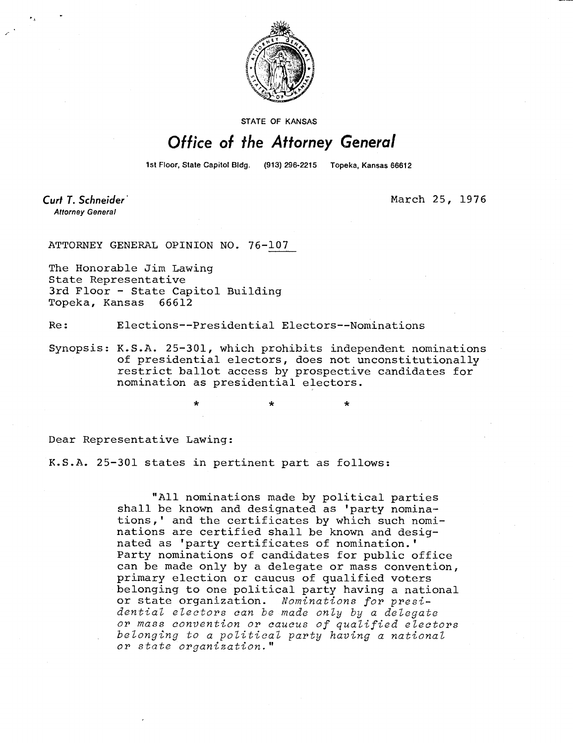

**STATE OF KANSAS** 

## Office of the Attorney General

1st Floor, State Capitol Bldg. (913) 296-2215 Topeka, Kansas 66612

Curt T. Schneider **Attorney General** 

March 25, 1976

ATTORNEY GENERAL OPINION NO. 76-107

The Honorable Jim Lawing State Representative 3rd Floor - State Capitol Building Topeka, Kansas 66612

Re: Elections--Presidential Electors--Nominations

Synopsis: K.S.A. 25-301, which prohibits independent nominations of presidential electors, does not unconstitutionally restrict ballot access by prospective candidates for nomination as presidential electors.

Dear Representative Lawing:

K.S.A. 25-301 states in pertinent part as follows:

"All nominations made by political parties shall be known and designated as 'party nominations,' and the certificates by which such nominations are certified shall be known and designated as 'party certificates of nomination.' Party nominations of candidates for public office can be made only by a delegate or mass convention, primary election or caucus of qualified voters belonging to one political party having a national or state organization. Nominations for presidential electors can be made only by a delegate or mass convention or caucus of qualified electors belonging to a political party having a national or state organization."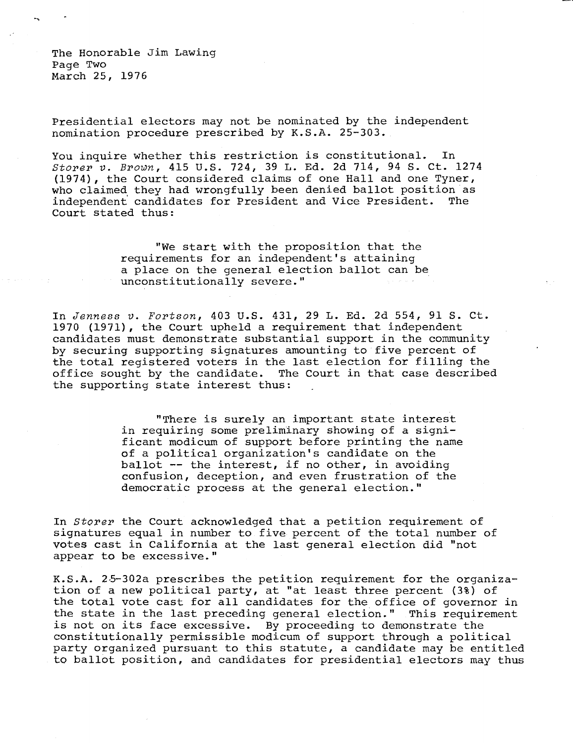The Honorable Jim Lawing Page Two March 25, 1976

Presidential electors may not be nominated by the independent nomination procedure prescribed by K.S.A. 25-303.

You inquire whether this restriction is constitutional. In Storer v. Brown, 415 U.S. 724, 39 L. Ed. 2d 714, 94 S. Ct. 1274 (1974), the Court considered claims of one Hall and one Tyner, who claimed they had wrongfully been denied ballot position as independent candidates for President and Vice President. Court stated thus:

> "We start with the proposition that the requirements for an independent's attaining a place on the general election ballot can be unconstitutionally severe."

In Jenness v. Fortson, 403 U.S. 431, 29 L. Ed. 2d 554, 91 S. Ct. 1970 (1971), the Court upheld a requirement that independent candidates must demonstrate substantial support in the community by securing supporting signatures amounting to five percent of the total registered voters in the last election for filling the office sought by the candidate. The Court in that case described the supporting state interest thus:

> "There is surely an important state interest in requiring some preliminary showing of a significant modicum of support before printing the name of a political organization's candidate on the ballot -- the interest, if no other, in avoiding confusion, deception, and even frustration of the democratic process at the general election."

In Storer the Court acknowledged that a petition requirement of signatures equal in number to five percent of the total number of votes cast in California at the last general election did "not appear to be excessive."

K.S.A. 25-302a prescribes the petition requirement for the organization of a new political party, at "at least three percent (3%) of the total vote cast for all candidates for the office of governor in the state in the last preceding general election." This requirement is not on its face excessive. By proceeding to demonstrate the constitutionally permissible modicum of support through a political party organized pursuant to this statute, a candidate may be entitled to ballot position, and candidates for presidential electors may thus